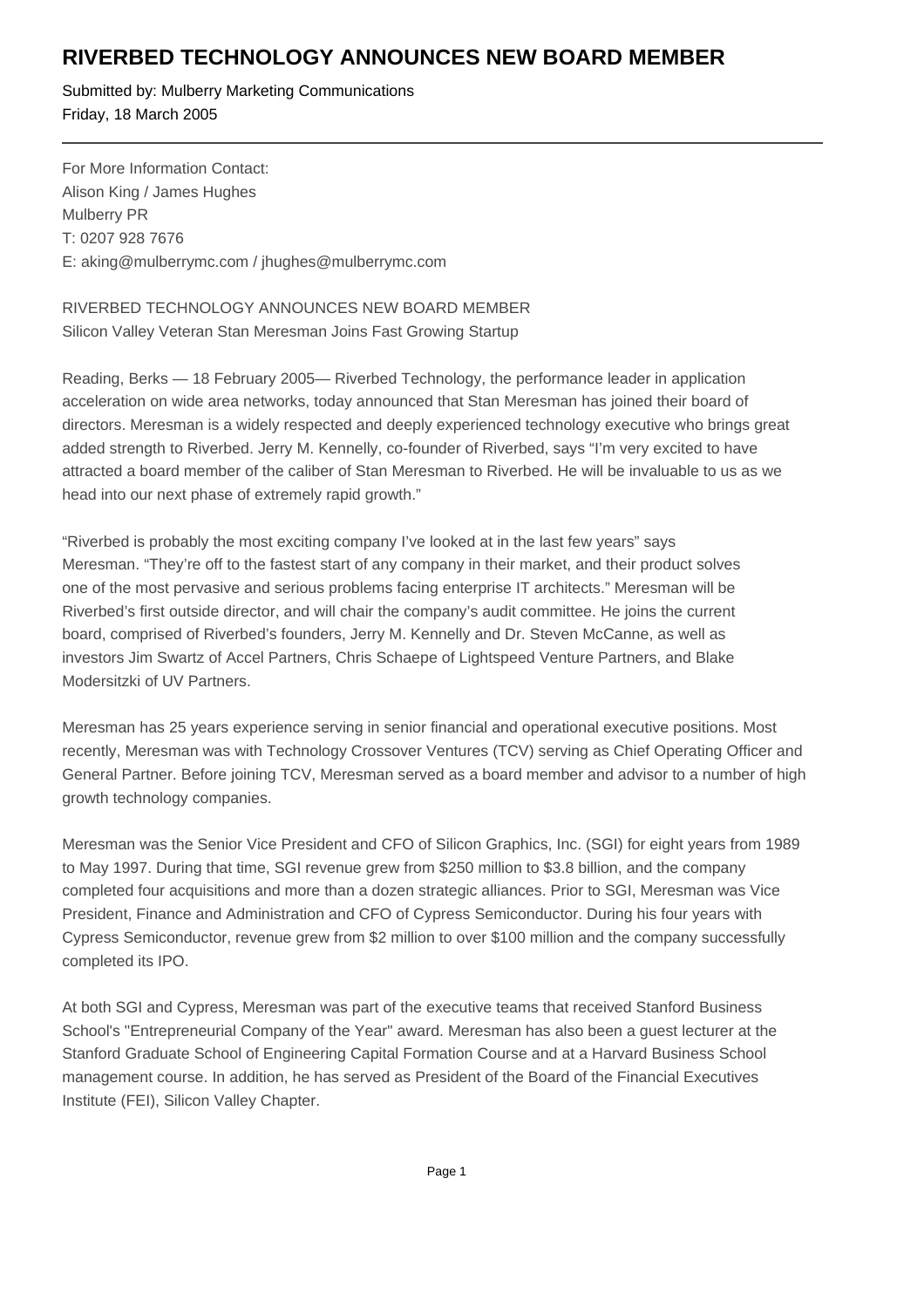## **RIVERBED TECHNOLOGY ANNOUNCES NEW BOARD MEMBER**

Submitted by: Mulberry Marketing Communications Friday, 18 March 2005

For More Information Contact: Alison King / James Hughes Mulberry PR T: 0207 928 7676 E: aking@mulberrymc.com / jhughes@mulberrymc.com

RIVERBED TECHNOLOGY ANNOUNCES NEW BOARD MEMBER Silicon Valley Veteran Stan Meresman Joins Fast Growing Startup

Reading, Berks — 18 February 2005— Riverbed Technology, the performance leader in application acceleration on wide area networks, today announced that Stan Meresman has joined their board of directors. Meresman is a widely respected and deeply experienced technology executive who brings great added strength to Riverbed. Jerry M. Kennelly, co-founder of Riverbed, says "I'm very excited to have attracted a board member of the caliber of Stan Meresman to Riverbed. He will be invaluable to us as we head into our next phase of extremely rapid growth."

"Riverbed is probably the most exciting company I've looked at in the last few years" says Meresman. "They're off to the fastest start of any company in their market, and their product solves one of the most pervasive and serious problems facing enterprise IT architects." Meresman will be Riverbed's first outside director, and will chair the company's audit committee. He joins the current board, comprised of Riverbed's founders, Jerry M. Kennelly and Dr. Steven McCanne, as well as investors Jim Swartz of Accel Partners, Chris Schaepe of Lightspeed Venture Partners, and Blake Modersitzki of UV Partners.

Meresman has 25 years experience serving in senior financial and operational executive positions. Most recently, Meresman was with Technology Crossover Ventures (TCV) serving as Chief Operating Officer and General Partner. Before joining TCV, Meresman served as a board member and advisor to a number of high growth technology companies.

Meresman was the Senior Vice President and CFO of Silicon Graphics, Inc. (SGI) for eight years from 1989 to May 1997. During that time, SGI revenue grew from \$250 million to \$3.8 billion, and the company completed four acquisitions and more than a dozen strategic alliances. Prior to SGI, Meresman was Vice President, Finance and Administration and CFO of Cypress Semiconductor. During his four years with Cypress Semiconductor, revenue grew from \$2 million to over \$100 million and the company successfully completed its IPO.

At both SGI and Cypress, Meresman was part of the executive teams that received Stanford Business School's "Entrepreneurial Company of the Year" award. Meresman has also been a guest lecturer at the Stanford Graduate School of Engineering Capital Formation Course and at a Harvard Business School management course. In addition, he has served as President of the Board of the Financial Executives Institute (FEI), Silicon Valley Chapter.